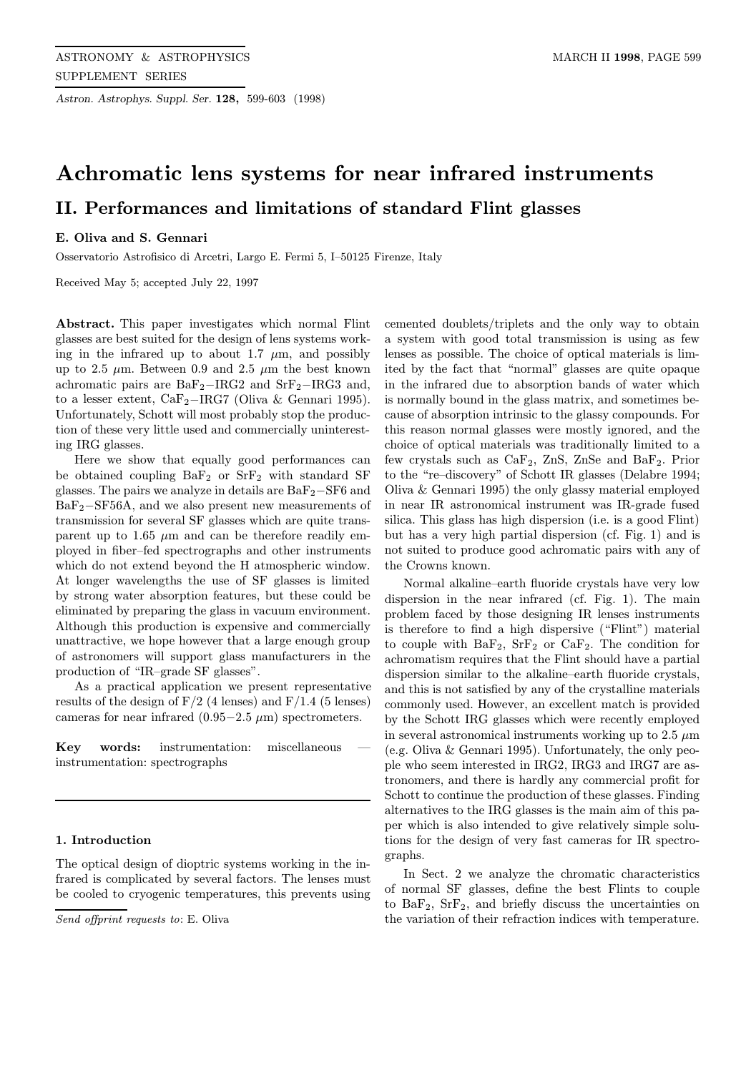Astron. Astrophys. Suppl. Ser. 128, 599-603 (1998)

# Achromatic lens systems for near infrared instruments II. Performances and limitations of standard Flint glasses

# E. Oliva and S. Gennari

Osservatorio Astrofisico di Arcetri, Largo E. Fermi 5, I–50125 Firenze, Italy

Received May 5; accepted July 22, 1997

Abstract. This paper investigates which normal Flint glasses are best suited for the design of lens systems working in the infrared up to about 1.7  $\mu$ m, and possibly up to 2.5  $\mu$ m. Between 0.9 and 2.5  $\mu$ m the best known achromatic pairs are  $BaF_2-IRG2$  and  $SrF_2-IRG3$  and, to a lesser extent, CaF2−IRG7 (Oliva & Gennari 1995). Unfortunately, Schott will most probably stop the production of these very little used and commercially uninteresting IRG glasses.

Here we show that equally good performances can be obtained coupling  $BaF_2$  or  $SrF_2$  with standard SF glasses. The pairs we analyze in details are  $BaF<sub>2</sub>$ −SF6 and BaF2−SF56A, and we also present new measurements of transmission for several SF glasses which are quite transparent up to 1.65  $\mu$ m and can be therefore readily employed in fiber–fed spectrographs and other instruments which do not extend beyond the H atmospheric window. At longer wavelengths the use of SF glasses is limited by strong water absorption features, but these could be eliminated by preparing the glass in vacuum environment. Although this production is expensive and commercially unattractive, we hope however that a large enough group of astronomers will support glass manufacturers in the production of "IR–grade SF glasses".

As a practical application we present representative results of the design of  $F/2$  (4 lenses) and  $F/1.4$  (5 lenses) cameras for near infrared  $(0.95-2.5 \mu m)$  spectrometers.

Key words: instrumentation: miscellaneous instrumentation: spectrographs

# 1. Introduction

The optical design of dioptric systems working in the infrared is complicated by several factors. The lenses must be cooled to cryogenic temperatures, this prevents using

Send offprint requests to: E. Oliva

cemented doublets/triplets and the only way to obtain a system with good total transmission is using as few lenses as possible. The choice of optical materials is limited by the fact that "normal" glasses are quite opaque in the infrared due to absorption bands of water which is normally bound in the glass matrix, and sometimes because of absorption intrinsic to the glassy compounds. For this reason normal glasses were mostly ignored, and the choice of optical materials was traditionally limited to a few crystals such as  $CaF_2$ , ZnS, ZnSe and  $BaF_2$ . Prior to the "re–discovery" of Schott IR glasses (Delabre 1994; Oliva & Gennari 1995) the only glassy material employed in near IR astronomical instrument was IR-grade fused silica. This glass has high dispersion (i.e. is a good Flint) but has a very high partial dispersion (cf. Fig. 1) and is not suited to produce good achromatic pairs with any of the Crowns known.

Normal alkaline–earth fluoride crystals have very low dispersion in the near infrared (cf. Fig. 1). The main problem faced by those designing IR lenses instruments is therefore to find a high dispersive ("Flint") material to couple with  $BaF_2$ ,  $SrF_2$  or  $CaF_2$ . The condition for achromatism requires that the Flint should have a partial dispersion similar to the alkaline–earth fluoride crystals, and this is not satisfied by any of the crystalline materials commonly used. However, an excellent match is provided by the Schott IRG glasses which were recently employed in several astronomical instruments working up to 2.5  $\mu$ m (e.g. Oliva & Gennari 1995). Unfortunately, the only people who seem interested in IRG2, IRG3 and IRG7 are astronomers, and there is hardly any commercial profit for Schott to continue the production of these glasses. Finding alternatives to the IRG glasses is the main aim of this paper which is also intended to give relatively simple solutions for the design of very fast cameras for IR spectrographs.

In Sect. 2 we analyze the chromatic characteristics of normal SF glasses, define the best Flints to couple to  $BaF_2$ ,  $SrF_2$ , and briefly discuss the uncertainties on the variation of their refraction indices with temperature.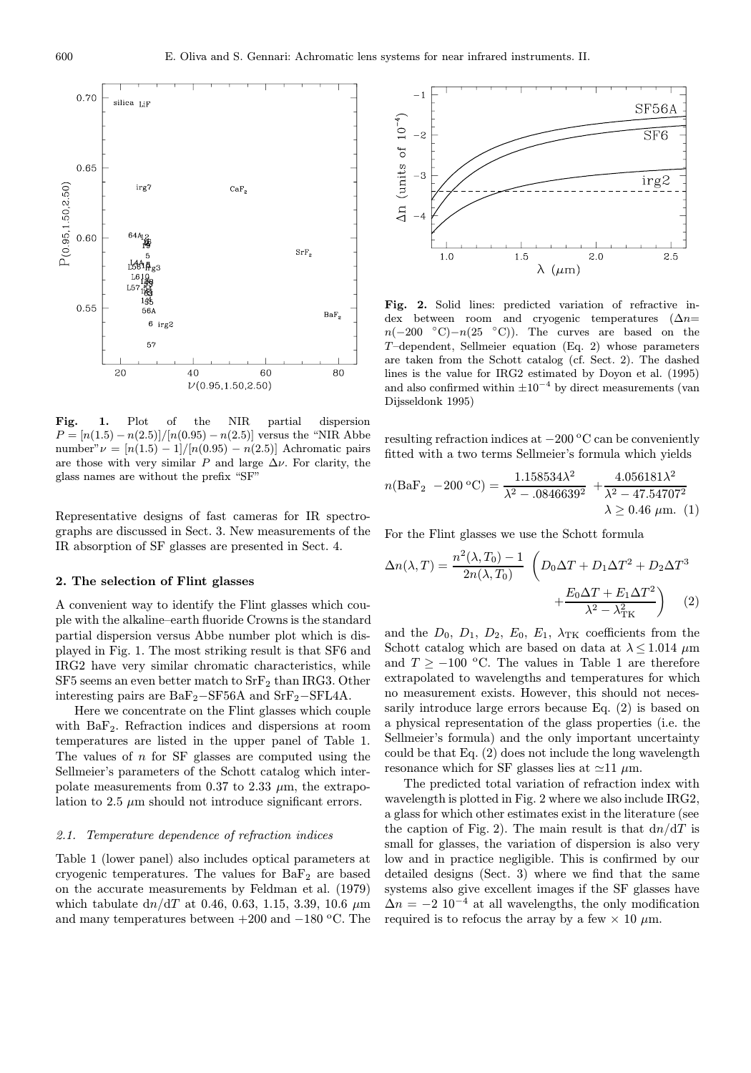

Fig. 1. Plot of the NIR partial dispersion  $P = [n(1.5) - n(2.5)]/[n(0.95) - n(2.5)]$  versus the "NIR Abbe number" $\nu = \frac{n(1.5) - 1}{n(0.95)} - n(2.5)$  Achromatic pairs are those with very similar P and large  $\Delta \nu$ . For clarity, the glass names are without the prefix "SF"

Representative designs of fast cameras for IR spectrographs are discussed in Sect. 3. New measurements of the IR absorption of SF glasses are presented in Sect. 4.

#### 2. The selection of Flint glasses

A convenient way to identify the Flint glasses which couple with the alkaline–earth fluoride Crowns is the standard partial dispersion versus Abbe number plot which is displayed in Fig. 1. The most striking result is that SF6 and IRG2 have very similar chromatic characteristics, while  $SF5$  seems an even better match to  $SrF_2$  than IRG3. Other interesting pairs are  $BaF_2-SF56A$  and  $SrF_2-SFLAA$ .

Here we concentrate on the Flint glasses which couple with BaF<sub>2</sub>. Refraction indices and dispersions at room temperatures are listed in the upper panel of Table 1. The values of  $n$  for SF glasses are computed using the Sellmeier's parameters of the Schott catalog which interpolate measurements from 0.37 to 2.33  $\mu$ m, the extrapolation to  $2.5 \mu m$  should not introduce significant errors.

# 2.1. Temperature dependence of refraction indices

Table 1 (lower panel) also includes optical parameters at cryogenic temperatures. The values for  $BaF<sub>2</sub>$  are based on the accurate measurements by Feldman et al. (1979) which tabulate  $dn/dT$  at 0.46, 0.63, 1.15, 3.39, 10.6  $\mu$ m and many temperatures between  $+200$  and  $-180$  °C. The



Fig. 2. Solid lines: predicted variation of refractive index between room and cryogenic temperatures ( $\Delta n=$  $n(-200 °C)-n(25 °C)$ . The curves are based on the T–dependent, Sellmeier equation (Eq. 2) whose parameters are taken from the Schott catalog (cf. Sect. 2). The dashed lines is the value for IRG2 estimated by Doyon et al. (1995) and also confirmed within  $\pm 10^{-4}$  by direct measurements (van Dijsseldonk 1995)

resulting refraction indices at −200 °C can be conveniently fitted with a two terms Sellmeier's formula which yields

$$
n(\text{BaF}_2 - 200 \text{ °C}) = \frac{1.158534\lambda^2}{\lambda^2 - .0846639^2} + \frac{4.056181\lambda^2}{\lambda^2 - 47.54707^2} \lambda \ge 0.46 \text{ }\mu\text{m}. \tag{1}
$$

For the Flint glasses we use the Schott formula

$$
\Delta n(\lambda, T) = \frac{n^2(\lambda, T_0) - 1}{2n(\lambda, T_0)} \left( D_0 \Delta T + D_1 \Delta T^2 + D_2 \Delta T^3 + \frac{E_0 \Delta T + E_1 \Delta T^2}{\lambda^2 - \lambda_{\text{TK}}^2} \right)
$$
(2)

and the  $D_0$ ,  $D_1$ ,  $D_2$ ,  $E_0$ ,  $E_1$ ,  $\lambda_{TK}$  coefficients from the Schott catalog which are based on data at  $\lambda \leq 1.014 \ \mu m$ and  $T \ge -100$  °C. The values in Table 1 are therefore extrapolated to wavelengths and temperatures for which no measurement exists. However, this should not necessarily introduce large errors because Eq. (2) is based on a physical representation of the glass properties (i.e. the Sellmeier's formula) and the only important uncertainty could be that Eq. (2) does not include the long wavelength resonance which for SF glasses lies at  $\simeq$ 11  $\mu$ m.

The predicted total variation of refraction index with wavelength is plotted in Fig. 2 where we also include IRG2, a glass for which other estimates exist in the literature (see the caption of Fig. 2). The main result is that  $dn/dT$  is small for glasses, the variation of dispersion is also very low and in practice negligible. This is confirmed by our detailed designs (Sect. 3) where we find that the same systems also give excellent images if the SF glasses have  $\Delta n = -2$  10<sup>-4</sup> at all wavelengths, the only modification required is to refocus the array by a few  $\times$  10  $\mu$ m.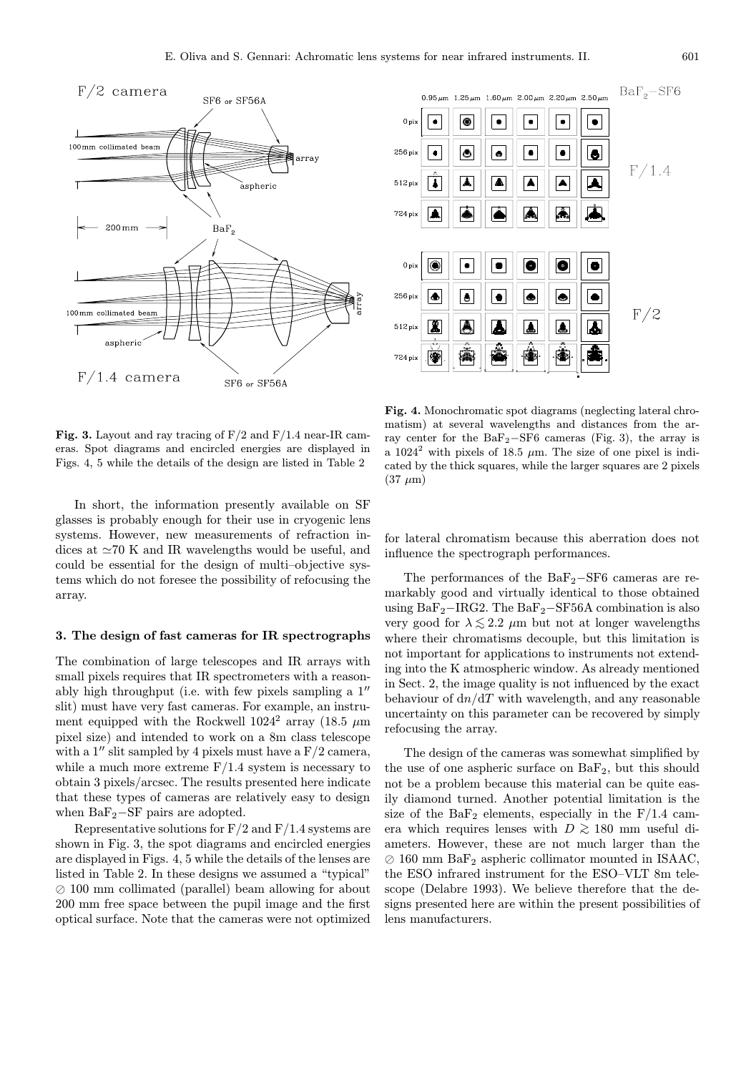

Fig. 3. Layout and ray tracing of  $F/2$  and  $F/1.4$  near-IR cameras. Spot diagrams and encircled energies are displayed in Figs. 4, 5 while the details of the design are listed in Table 2

In short, the information presently available on SF glasses is probably enough for their use in cryogenic lens systems. However, new measurements of refraction indices at  $\simeq 70$  K and IR wavelengths would be useful, and could be essential for the design of multi–objective systems which do not foresee the possibility of refocusing the array.

## 3. The design of fast cameras for IR spectrographs

The combination of large telescopes and IR arrays with small pixels requires that IR spectrometers with a reasonably high throughput (i.e. with few pixels sampling a  $1''$ slit) must have very fast cameras. For example, an instrument equipped with the Rockwell  $1024^2$  array (18.5  $\mu$ m pixel size) and intended to work on a 8m class telescope with a 1" slit sampled by 4 pixels must have a  $F/2$  camera, while a much more extreme  $F/1.4$  system is necessary to obtain 3 pixels/arcsec. The results presented here indicate that these types of cameras are relatively easy to design when  $BaF_2-SF$  pairs are adopted.

Representative solutions for  $F/2$  and  $F/1.4$  systems are shown in Fig. 3, the spot diagrams and encircled energies are displayed in Figs. 4, 5 while the details of the lenses are listed in Table 2. In these designs we assumed a "typical"  $\oslash$  100 mm collimated (parallel) beam allowing for about 200 mm free space between the pupil image and the first optical surface. Note that the cameras were not optimized



Fig. 4. Monochromatic spot diagrams (neglecting lateral chromatism) at several wavelengths and distances from the array center for the  $BaF_2-SF6$  cameras (Fig. 3), the array is a  $1024^2$  with pixels of 18.5  $\mu$ m. The size of one pixel is indicated by the thick squares, while the larger squares are 2 pixels  $(37 \mu m)$ 

for lateral chromatism because this aberration does not influence the spectrograph performances.

The performances of the BaF2−SF6 cameras are remarkably good and virtually identical to those obtained using  $BaF_2-IRG2$ . The  $BaF_2-SF56A$  combination is also very good for  $\lambda \le 2.2 \mu m$  but not at longer wavelengths where their chromatisms decouple, but this limitation is not important for applications to instruments not extending into the K atmospheric window. As already mentioned in Sect. 2, the image quality is not influenced by the exact behaviour of  $dn/dT$  with wavelength, and any reasonable uncertainty on this parameter can be recovered by simply refocusing the array.

The design of the cameras was somewhat simplified by the use of one aspheric surface on  $BaF_2$ , but this should not be a problem because this material can be quite easily diamond turned. Another potential limitation is the size of the  $BaF_2$  elements, especially in the  $F/1.4$  camera which requires lenses with  $D \gtrsim 180$  mm useful diameters. However, these are not much larger than the  $\oslash$  160 mm BaF<sub>2</sub> aspheric collimator mounted in ISAAC, the ESO infrared instrument for the ESO–VLT 8m telescope (Delabre 1993). We believe therefore that the designs presented here are within the present possibilities of lens manufacturers.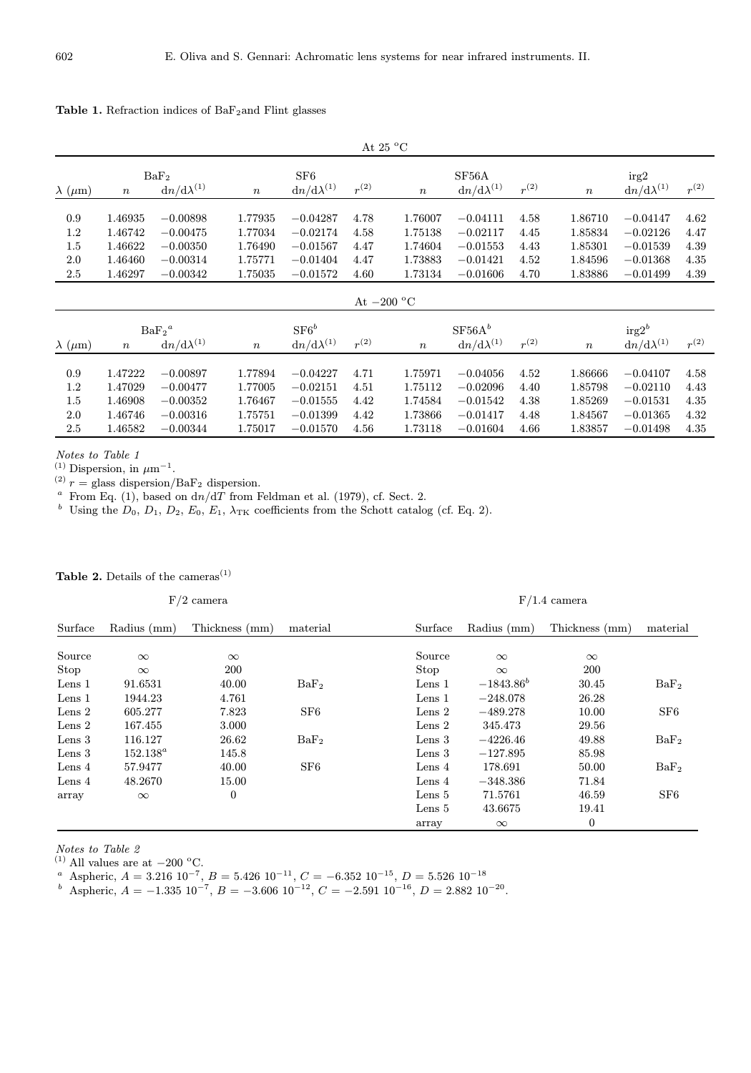| At 25 $\rm{^oC}$                |                                                     |                                                                    |                                                                    |                                                                    |                                      |                                                        |                                                                    |                                      |                                                                                |                                                                         |                                      |  |
|---------------------------------|-----------------------------------------------------|--------------------------------------------------------------------|--------------------------------------------------------------------|--------------------------------------------------------------------|--------------------------------------|--------------------------------------------------------|--------------------------------------------------------------------|--------------------------------------|--------------------------------------------------------------------------------|-------------------------------------------------------------------------|--------------------------------------|--|
| $\lambda$ ( $\mu$ m)            | BaF <sub>2</sub><br>$dn/d\lambda^{(1)}$<br>$\,n$    |                                                                    | SF6<br>$r^{(2)}$<br>$\mathrm{d}n/\mathrm{d}\lambda^{(1)}$<br>$\,n$ |                                                                    | $\boldsymbol{n}$                     | SF <sub>56</sub> A<br>$r^{(2)}$<br>$dn/d\lambda^{(1)}$ |                                                                    |                                      | irg2<br>$r^{(2)}$<br>$\mathrm{d}n/\mathrm{d}\lambda^{(1)}$<br>$\boldsymbol{n}$ |                                                                         |                                      |  |
| 0.9<br>1.2<br>1.5<br>2.0<br>2.5 | 1.46935<br>1.46742<br>1.46622<br>1.46460<br>1.46297 | $-0.00898$<br>$-0.00475$<br>$-0.00350$<br>$-0.00314$<br>$-0.00342$ | 1.77935<br>1.77034<br>1.76490<br>1.75771<br>1.75035                | $-0.04287$<br>$-0.02174$<br>$-0.01567$<br>$-0.01404$<br>$-0.01572$ | 4.78<br>4.58<br>4.47<br>4.47<br>4.60 | 1.76007<br>1.75138<br>1.74604<br>1.73883<br>1.73134    | $-0.04111$<br>$-0.02117$<br>$-0.01553$<br>$-0.01421$<br>$-0.01606$ | 4.58<br>4.45<br>4.43<br>4.52<br>4.70 | 1.86710<br>1.85834<br>1.85301<br>1.84596<br>1.83886                            | $-0.04147$<br>$-0.02126$<br>$-0.01539$<br>$-0.01368$<br>$-0.01499$      | 4.62<br>4.47<br>4.39<br>4.35<br>4.39 |  |
| At $-200$ °C                    |                                                     |                                                                    |                                                                    |                                                                    |                                      |                                                        |                                                                    |                                      |                                                                                |                                                                         |                                      |  |
| $\lambda$ ( $\mu$ m)            | $BaF_2^a$<br>$dn/d\lambda^{(1)}$<br>$\,n$           |                                                                    | $\boldsymbol{n}$                                                   | $SFG^b$<br>$r^{(2)}$<br>${\rm d}n/{\rm d}\lambda^{(1)}$            |                                      | $\boldsymbol{n}$                                       | SF56A <sup>b</sup><br>$r^{(2)}$<br>$dn/d\lambda^{(1)}$             |                                      |                                                                                | $\text{irg}2^b$<br>$r^{(2)}$<br>$dn/d\lambda^{(1)}$<br>$\boldsymbol{n}$ |                                      |  |
| 0.9<br>1.2<br>1.5<br>2.0<br>2.5 | 1.47222<br>1.47029<br>1.46908<br>1.46746<br>1.46582 | $-0.00897$<br>$-0.00477$<br>$-0.00352$<br>$-0.00316$<br>$-0.00344$ | 1.77894<br>1.77005<br>1.76467<br>1.75751<br>1.75017                | $-0.04227$<br>$-0.02151$<br>$-0.01555$<br>$-0.01399$<br>$-0.01570$ | 4.71<br>4.51<br>4.42<br>4.42<br>4.56 | 1.75971<br>1.75112<br>1.74584<br>1.73866<br>1.73118    | $-0.04056$<br>$-0.02096$<br>$-0.01542$<br>$-0.01417$<br>$-0.01604$ | 4.52<br>4.40<br>4.38<br>4.48<br>4.66 | 1.86666<br>1.85798<br>1.85269<br>1.84567<br>1.83857                            | $-0.04107$<br>$-0.02110$<br>$-0.01531$<br>$-0.01365$<br>$-0.01498$      | 4.58<br>4.43<br>4.35<br>4.32<br>4.35 |  |

# Table 1. Refraction indices of  $BaF_2$ and Flint glasses

Notes to Table 1

<sup>(1)</sup> Dispersion, in  $\mu$ m<sup>-1</sup>.

<sup>(2)</sup>  $r =$  glass dispersion/BaF<sub>2</sub> dispersion.

<sup>a</sup> From Eq. (1), based on  $dn/dT$  from Feldman et al. (1979), cf. Sect. 2.

<sup>b</sup> Using the  $D_0$ ,  $D_1$ ,  $D_2$ ,  $E_0$ ,  $E_1$ ,  $\lambda_{TK}$  coefficients from the Schott catalog (cf. Eq. 2).

# Table 2. Details of the cameras<sup>(1)</sup>

#### $F/2$  camera  $F/1.4$  camera

| Surface           | Radius (mm) | Thickness (mm)   | material         | Surface           | Radius (mm)    | Thickness (mm)   | material         |
|-------------------|-------------|------------------|------------------|-------------------|----------------|------------------|------------------|
|                   |             |                  |                  |                   |                |                  |                  |
| Source            | $\infty$    | $\infty$         |                  | Source            | $\infty$       | $\infty$         |                  |
| Stop              | $\infty$    | 200              |                  | Stop              | $\infty$       | 200              |                  |
| Lens 1            | 91.6531     | 40.00            | BaF <sub>2</sub> | Lens <sub>1</sub> | $-1843.86^{b}$ | 30.45            | BaF <sub>2</sub> |
| Lens $1$          | 1944.23     | 4.761            |                  | Lens 1            | $-248.078$     | 26.28            |                  |
| Lens 2            | 605.277     | 7.823            | SF <sub>6</sub>  | Lens $2$          | $-489.278$     | 10.00            | SF <sub>6</sub>  |
| Lens 2            | 167.455     | 3.000            |                  | Lens 2            | 345.473        | 29.56            |                  |
| Lens $3$          | 116.127     | 26.62            | BaF <sub>2</sub> | Lens <sub>3</sub> | $-4226.46$     | 49.88            | BaF <sub>2</sub> |
| Lens $3$          | $152.138^a$ | 145.8            |                  | Lens <sub>3</sub> | $-127.895$     | 85.98            |                  |
| Lens <sub>4</sub> | 57.9477     | 40.00            | SF <sub>6</sub>  | Lens <sub>4</sub> | 178.691        | 50.00            | BaF <sub>2</sub> |
| Lens $4$          | 48.2670     | 15.00            |                  | Lens $4$          | $-348.386$     | 71.84            |                  |
| array             | $\infty$    | $\boldsymbol{0}$ |                  | Lens $5$          | 71.5761        | 46.59            | SF <sub>6</sub>  |
|                   |             |                  |                  | Lens 5            | 43.6675        | 19.41            |                  |
|                   |             |                  |                  | array             | $\infty$       | $\boldsymbol{0}$ |                  |

Notes to Table 2

 $(1)$  All values are at  $-200$  °C.

<sup>a</sup> Aspheric,  $A = 3.216 \cdot 10^{-7}$ ,  $B = 5.426 \cdot 10^{-11}$ ,  $C = -6.352 \cdot 10^{-15}$ ,  $D = 5.526 \cdot 10^{-18}$ 

<sup>b</sup> Aspheric,  $A = -1.335 \ 10^{-7}$ ,  $B = -3.606 \ 10^{-12}$ ,  $C = -2.591 \ 10^{-16}$ ,  $D = 2.882 \ 10^{-20}$ .